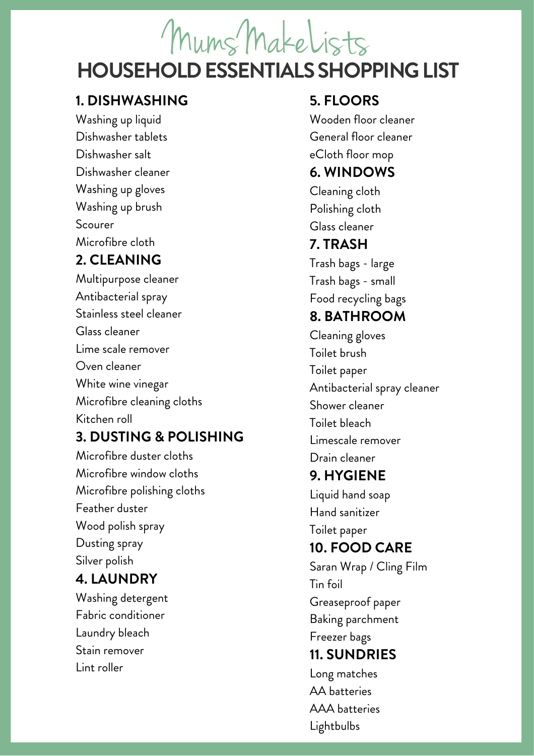# **HOUSEHOLD ESSENTIALS SHOPPING LIST** MumsMakeLists

#### **1. DISHWASHING**

Washing up liquid Dishwasher tablets Dishwasher salt Dishwasher cleaner Washing up gloves Washing up brush Scourer Microfibre cloth

### **2. CLEANING**

Multipurpose cleaner Antibacterial spray Stainless steel cleaner Glass cleaner Lime scale remover Oven cleaner White wine vinegar Microfibre cleaning cloths Kitchen roll

### **3. DUSTING & POLISHING**

Microfibre duster cloths Microfibre window cloths Microfibre polishing cloths Feather duster Wood polish spray Dusting spray Silver polish **4. LAUNDRY** Washing detergent

Fabric conditioner Laundry bleach Stain remover Lint roller

### **5. FLOORS**

Wooden floor cleaner General floor cleaner eCloth floor mop

#### **6. WINDOWS**

Cleaning cloth Polishing cloth Glass cleaner

#### **7. TRASH**

Trash bags - large Trash bags - small Food recycling bags

## **8. BATHROOM**

Cleaning gloves Toilet brush Toilet paper Antibacterial spray cleaner Shower cleaner Toilet bleach Limescale remover Drain cleaner

## **9. HYGIENE**

Liquid hand soap Hand sanitizer Toilet paper

## **10. FOOD CARE**

Saran Wrap / Cling Film Tin foil Greaseproof paper Baking parchment Freezer bags **11. SUNDRIES**

Long matches AA batteries AAA batteries Lightbulbs